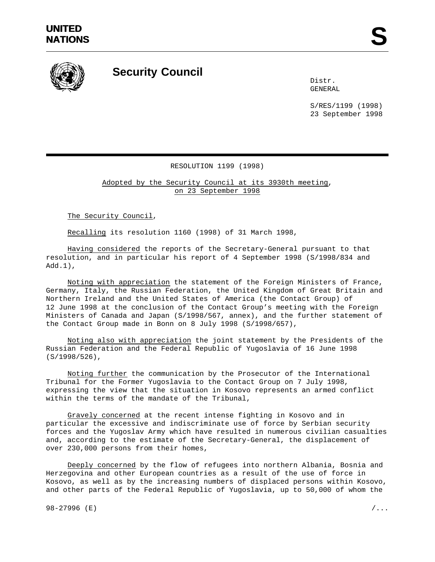

## **Security Council**

Distr. GENERAL

S/RES/1199 (1998) 23 September 1998

## RESOLUTION 1199 (1998)

Adopted by the Security Council at its 3930th meeting, on 23 September 1998

The Security Council,

Recalling its resolution 1160 (1998) of 31 March 1998,

Having considered the reports of the Secretary-General pursuant to that resolution, and in particular his report of 4 September 1998 (S/1998/834 and Add.1),

Noting with appreciation the statement of the Foreign Ministers of France, Germany, Italy, the Russian Federation, the United Kingdom of Great Britain and Northern Ireland and the United States of America (the Contact Group) of 12 June 1998 at the conclusion of the Contact Group's meeting with the Foreign Ministers of Canada and Japan (S/1998/567, annex), and the further statement of the Contact Group made in Bonn on 8 July 1998 (S/1998/657),

Noting also with appreciation the joint statement by the Presidents of the Russian Federation and the Federal Republic of Yugoslavia of 16 June 1998 (S/1998/526),

Noting further the communication by the Prosecutor of the International Tribunal for the Former Yugoslavia to the Contact Group on 7 July 1998, expressing the view that the situation in Kosovo represents an armed conflict within the terms of the mandate of the Tribunal,

Gravely concerned at the recent intense fighting in Kosovo and in particular the excessive and indiscriminate use of force by Serbian security forces and the Yugoslav Army which have resulted in numerous civilian casualties and, according to the estimate of the Secretary-General, the displacement of over 230,000 persons from their homes,

Deeply concerned by the flow of refugees into northern Albania, Bosnia and Herzegovina and other European countries as a result of the use of force in Kosovo, as well as by the increasing numbers of displaced persons within Kosovo, and other parts of the Federal Republic of Yugoslavia, up to 50,000 of whom the

98-27996 (E)  $/ \ldots$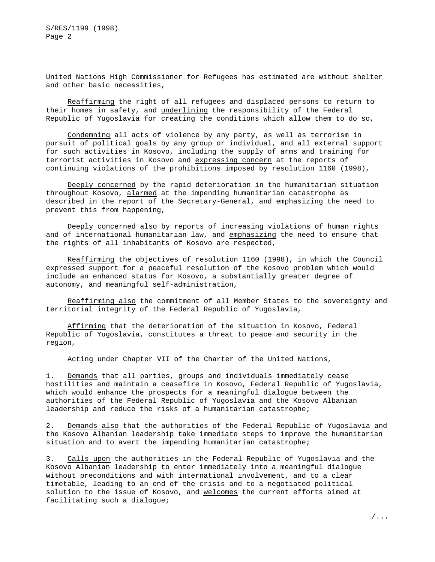United Nations High Commissioner for Refugees has estimated are without shelter and other basic necessities,

Reaffirming the right of all refugees and displaced persons to return to their homes in safety, and underlining the responsibility of the Federal Republic of Yugoslavia for creating the conditions which allow them to do so,

Condemning all acts of violence by any party, as well as terrorism in pursuit of political goals by any group or individual, and all external support for such activities in Kosovo, including the supply of arms and training for terrorist activities in Kosovo and expressing concern at the reports of continuing violations of the prohibitions imposed by resolution 1160 (1998),

Deeply concerned by the rapid deterioration in the humanitarian situation throughout Kosovo, alarmed at the impending humanitarian catastrophe as described in the report of the Secretary-General, and emphasizing the need to prevent this from happening,

Deeply concerned also by reports of increasing violations of human rights and of international humanitarian law, and emphasizing the need to ensure that the rights of all inhabitants of Kosovo are respected,

Reaffirming the objectives of resolution 1160 (1998), in which the Council expressed support for a peaceful resolution of the Kosovo problem which would include an enhanced status for Kosovo, a substantially greater degree of autonomy, and meaningful self-administration,

Reaffirming also the commitment of all Member States to the sovereignty and territorial integrity of the Federal Republic of Yugoslavia,

Affirming that the deterioration of the situation in Kosovo, Federal Republic of Yugoslavia, constitutes a threat to peace and security in the region,

Acting under Chapter VII of the Charter of the United Nations,

1. Demands that all parties, groups and individuals immediately cease hostilities and maintain a ceasefire in Kosovo, Federal Republic of Yugoslavia, which would enhance the prospects for a meaningful dialogue between the authorities of the Federal Republic of Yugoslavia and the Kosovo Albanian leadership and reduce the risks of a humanitarian catastrophe;

2. Demands also that the authorities of the Federal Republic of Yugoslavia and the Kosovo Albanian leadership take immediate steps to improve the humanitarian situation and to avert the impending humanitarian catastrophe;

3. Calls upon the authorities in the Federal Republic of Yugoslavia and the Kosovo Albanian leadership to enter immediately into a meaningful dialogue without preconditions and with international involvement, and to a clear timetable, leading to an end of the crisis and to a negotiated political solution to the issue of Kosovo, and welcomes the current efforts aimed at facilitating such a dialogue;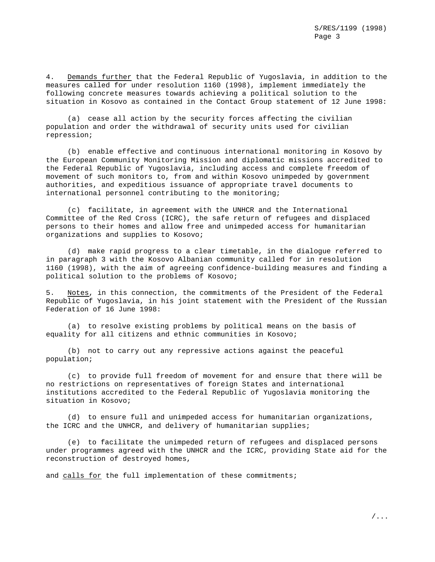4. Demands further that the Federal Republic of Yugoslavia, in addition to the measures called for under resolution 1160 (1998), implement immediately the following concrete measures towards achieving a political solution to the situation in Kosovo as contained in the Contact Group statement of 12 June 1998:

(a) cease all action by the security forces affecting the civilian population and order the withdrawal of security units used for civilian repression;

(b) enable effective and continuous international monitoring in Kosovo by the European Community Monitoring Mission and diplomatic missions accredited to the Federal Republic of Yugoslavia, including access and complete freedom of movement of such monitors to, from and within Kosovo unimpeded by government authorities, and expeditious issuance of appropriate travel documents to international personnel contributing to the monitoring;

(c) facilitate, in agreement with the UNHCR and the International Committee of the Red Cross (ICRC), the safe return of refugees and displaced persons to their homes and allow free and unimpeded access for humanitarian organizations and supplies to Kosovo;

(d) make rapid progress to a clear timetable, in the dialogue referred to in paragraph 3 with the Kosovo Albanian community called for in resolution 1160 (1998), with the aim of agreeing confidence-building measures and finding a political solution to the problems of Kosovo;

5. Notes, in this connection, the commitments of the President of the Federal Republic of Yugoslavia, in his joint statement with the President of the Russian Federation of 16 June 1998:

(a) to resolve existing problems by political means on the basis of equality for all citizens and ethnic communities in Kosovo;

(b) not to carry out any repressive actions against the peaceful population;

(c) to provide full freedom of movement for and ensure that there will be no restrictions on representatives of foreign States and international institutions accredited to the Federal Republic of Yugoslavia monitoring the situation in Kosovo;

(d) to ensure full and unimpeded access for humanitarian organizations, the ICRC and the UNHCR, and delivery of humanitarian supplies;

(e) to facilitate the unimpeded return of refugees and displaced persons under programmes agreed with the UNHCR and the ICRC, providing State aid for the reconstruction of destroyed homes,

and calls for the full implementation of these commitments;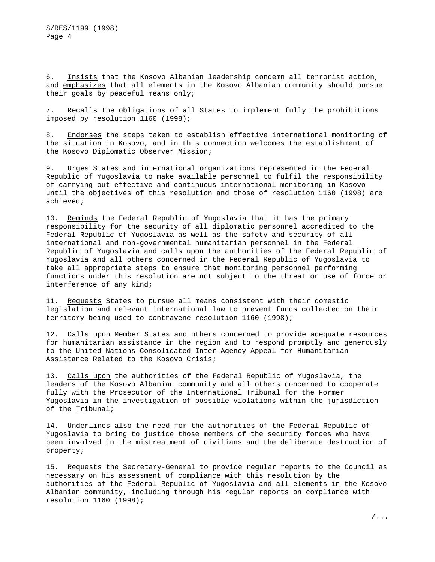6. Insists that the Kosovo Albanian leadership condemn all terrorist action, and emphasizes that all elements in the Kosovo Albanian community should pursue their goals by peaceful means only;

7. Recalls the obligations of all States to implement fully the prohibitions imposed by resolution 1160 (1998);

8. Endorses the steps taken to establish effective international monitoring of the situation in Kosovo, and in this connection welcomes the establishment of the Kosovo Diplomatic Observer Mission;

9. Urges States and international organizations represented in the Federal Republic of Yugoslavia to make available personnel to fulfil the responsibility of carrying out effective and continuous international monitoring in Kosovo until the objectives of this resolution and those of resolution 1160 (1998) are achieved;

10. Reminds the Federal Republic of Yugoslavia that it has the primary responsibility for the security of all diplomatic personnel accredited to the Federal Republic of Yugoslavia as well as the safety and security of all international and non-governmental humanitarian personnel in the Federal Republic of Yugoslavia and calls upon the authorities of the Federal Republic of Yugoslavia and all others concerned in the Federal Republic of Yugoslavia to take all appropriate steps to ensure that monitoring personnel performing functions under this resolution are not subject to the threat or use of force or interference of any kind;

11. Requests States to pursue all means consistent with their domestic legislation and relevant international law to prevent funds collected on their territory being used to contravene resolution 1160 (1998);

12. Calls upon Member States and others concerned to provide adequate resources for humanitarian assistance in the region and to respond promptly and generously to the United Nations Consolidated Inter-Agency Appeal for Humanitarian Assistance Related to the Kosovo Crisis;

13. Calls upon the authorities of the Federal Republic of Yugoslavia, the leaders of the Kosovo Albanian community and all others concerned to cooperate fully with the Prosecutor of the International Tribunal for the Former Yugoslavia in the investigation of possible violations within the jurisdiction of the Tribunal;

14. Underlines also the need for the authorities of the Federal Republic of Yugoslavia to bring to justice those members of the security forces who have been involved in the mistreatment of civilians and the deliberate destruction of property;

15. Requests the Secretary-General to provide regular reports to the Council as necessary on his assessment of compliance with this resolution by the authorities of the Federal Republic of Yugoslavia and all elements in the Kosovo Albanian community, including through his regular reports on compliance with resolution 1160 (1998);